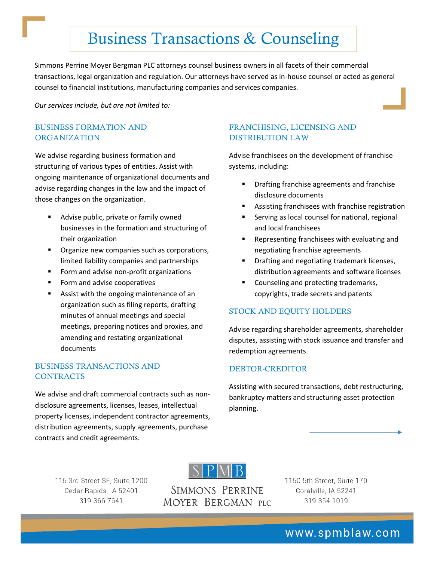# Business Transactions & Counseling

 transactions, legal organization and regulation. Our attorneys have served as in‐house counsel or acted as general Simmons Perrine Moyer Bergman PLC attorneys counsel business owners in all facets of their commercial counsel to financial institutions, manufacturing companies and services companies.

*Our services include, but are not limited to:*

#### BUSINESS FORMATION AND ORGANIZATION

We advise regarding business formation and structuring of various types of entities. Assist with ongoing maintenance of organizational documents and advise regarding changes in the law and the impact of those changes on the organization.

- **Advise public, private or family owned** businesses in the formation and structuring of their organization
- **Organize new companies such as corporations,** limited liability companies and partnerships
- Form and advise non-profit organizations
- Form and advise cooperatives
- Assist with the ongoing maintenance of an organization such as filing reports, drafting minutes of annual meetings and special meetings, preparing notices and proxies, and amending and restating organizational documents

## BUSINESS TRANSACTIONS AND CONTRACTS

We advise and draft commercial contracts such as nondisclosure agreements, licenses, leases, intellectual property licenses, independent contractor agreements, distribution agreements, supply agreements, purchase contracts and credit agreements.

### FRANCHISING, LICENSING AND DISTRIBUTION LAW

Advise franchisees on the development of franchise systems, including:

- Drafting franchise agreements and franchise disclosure documents
- Assisting franchisees with franchise registration
- Serving as local counsel for national, regional and local franchisees
- Representing franchisees with evaluating and negotiating franchise agreements
- Drafting and negotiating trademark licenses, distribution agreements and software licenses
- Counseling and protecting trademarks, copyrights, trade secrets and patents

#### STOCK AND EQUITY HOLDERS

Advise regarding shareholder agreements, shareholder disputes, assisting with stock issuance and transfer and redemption agreements.

#### DEBTOR-CREDITOR

Assisting with secured transactions, debt restructuring, bankruptcy matters and structuring asset protection planning.



115 3rd Street SE, Suite 1200 Cedar Rapids, IA 52401 319-366-7641

SIMMONS PERRINE MOYER BERGMAN PLC 1150 5th Street, Suite 170 Coralville, IA 52241 319-354-1019

www.spmblaw.com